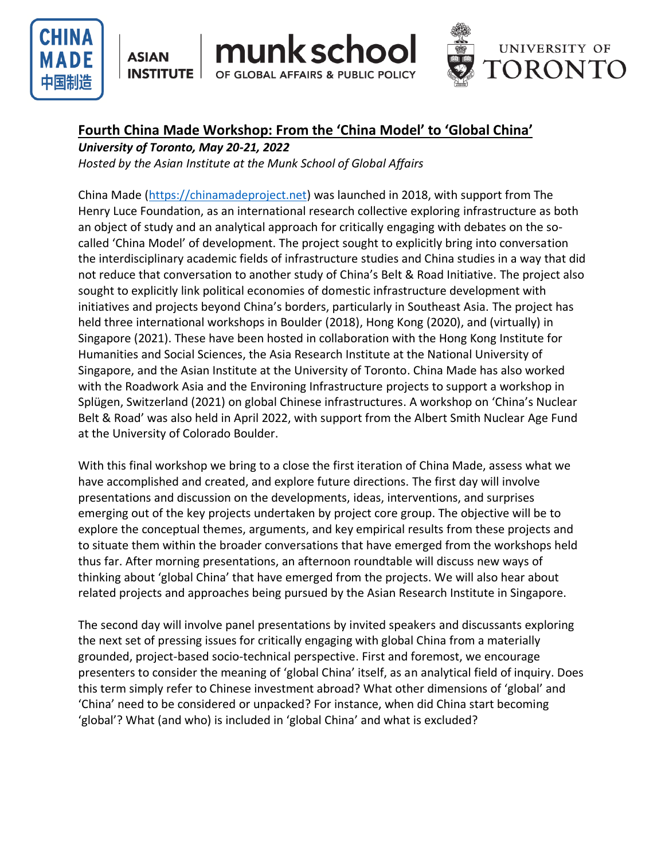

**ASIAN INSTITUTE** 



# **Fourth China Made Workshop: From the 'China Model' to 'Global China'**

nunk schoo

OF GLOBAL AFFAIRS & PUBLIC POLICY

*University of Toronto, May 20-21, 2022*

*Hosted by the Asian Institute at the Munk School of Global Affairs*

China Made [\(https://chinamadeproject.net\)](https://chinamadeproject.net/) was launched in 2018, with support from The Henry Luce Foundation, as an international research collective exploring infrastructure as both an object of study and an analytical approach for critically engaging with debates on the socalled 'China Model' of development. The project sought to explicitly bring into conversation the interdisciplinary academic fields of infrastructure studies and China studies in a way that did not reduce that conversation to another study of China's Belt & Road Initiative. The project also sought to explicitly link political economies of domestic infrastructure development with initiatives and projects beyond China's borders, particularly in Southeast Asia. The project has held three international workshops in Boulder (2018), Hong Kong (2020), and (virtually) in Singapore (2021). These have been hosted in collaboration with the Hong Kong Institute for Humanities and Social Sciences, the Asia Research Institute at the National University of Singapore, and the Asian Institute at the University of Toronto. China Made has also worked with the Roadwork Asia and the Environing Infrastructure projects to support a workshop in Splügen, Switzerland (2021) on global Chinese infrastructures. A workshop on 'China's Nuclear Belt & Road' was also held in April 2022, with support from the Albert Smith Nuclear Age Fund at the University of Colorado Boulder.

With this final workshop we bring to a close the first iteration of China Made, assess what we have accomplished and created, and explore future directions. The first day will involve presentations and discussion on the developments, ideas, interventions, and surprises emerging out of the key projects undertaken by project core group. The objective will be to explore the conceptual themes, arguments, and key empirical results from these projects and to situate them within the broader conversations that have emerged from the workshops held thus far. After morning presentations, an afternoon roundtable will discuss new ways of thinking about 'global China' that have emerged from the projects. We will also hear about related projects and approaches being pursued by the Asian Research Institute in Singapore.

The second day will involve panel presentations by invited speakers and discussants exploring the next set of pressing issues for critically engaging with global China from a materially grounded, project-based socio-technical perspective. First and foremost, we encourage presenters to consider the meaning of 'global China' itself, as an analytical field of inquiry. Does this term simply refer to Chinese investment abroad? What other dimensions of 'global' and 'China' need to be considered or unpacked? For instance, when did China start becoming 'global'? What (and who) is included in 'global China' and what is excluded?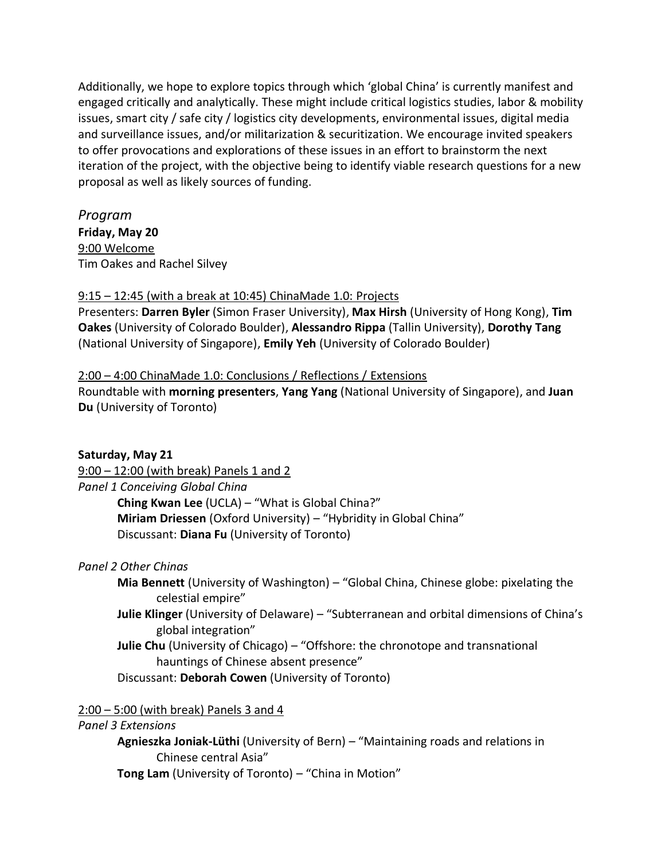Additionally, we hope to explore topics through which 'global China' is currently manifest and engaged critically and analytically. These might include critical logistics studies, labor & mobility issues, smart city / safe city / logistics city developments, environmental issues, digital media and surveillance issues, and/or militarization & securitization. We encourage invited speakers to offer provocations and explorations of these issues in an effort to brainstorm the next iteration of the project, with the objective being to identify viable research questions for a new proposal as well as likely sources of funding.

*Program* **Friday, May 20** 9:00 Welcome Tim Oakes and Rachel Silvey

# 9:15 – 12:45 (with a break at 10:45) ChinaMade 1.0: Projects

Presenters: **Darren Byler** (Simon Fraser University), **Max Hirsh** (University of Hong Kong), **Tim Oakes** (University of Colorado Boulder), **Alessandro Rippa** (Tallin University), **Dorothy Tang** (National University of Singapore), **Emily Yeh** (University of Colorado Boulder)

# 2:00 – 4:00 ChinaMade 1.0: Conclusions / Reflections / Extensions

Roundtable with **morning presenters**, **Yang Yang** (National University of Singapore), and **Juan Du** (University of Toronto)

#### **Saturday, May 21**

9:00 – 12:00 (with break) Panels 1 and 2 *Panel 1 Conceiving Global China* **Ching Kwan Lee** (UCLA) – "What is Global China?" **Miriam Driessen** (Oxford University) – "Hybridity in Global China" Discussant: **Diana Fu** (University of Toronto)

# *Panel 2 Other Chinas*

- **Mia Bennett** (University of Washington) "Global China, Chinese globe: pixelating the celestial empire"
- **Julie Klinger** (University of Delaware) "Subterranean and orbital dimensions of China's global integration"
- **Julie Chu** (University of Chicago) "Offshore: the chronotope and transnational hauntings of Chinese absent presence"
- Discussant: **Deborah Cowen** (University of Toronto)

2:00 – 5:00 (with break) Panels 3 and 4

#### *Panel 3 Extensions*

**Agnieszka Joniak-Lüthi** (University of Bern) – "Maintaining roads and relations in Chinese central Asia"

**Tong Lam** (University of Toronto) – "China in Motion"